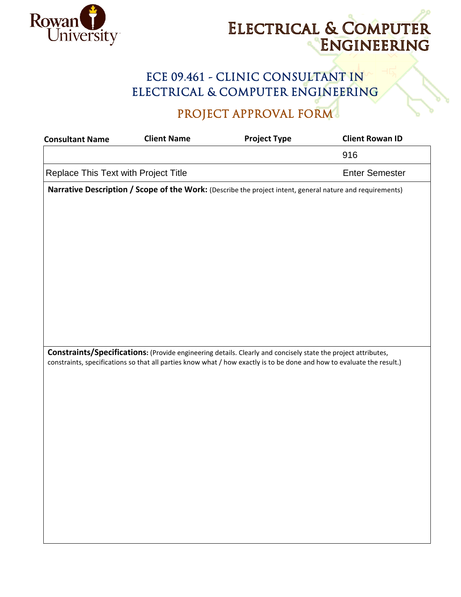

## ELECTRICAL & COMPUTER ENGINEERING

## ECE 09.461 - CLINIC CONSULTANT IN ELECTRICAL & COMPUTER ENGINEERING

## PROJECT APPROVAL FORM

| <b>Consultant Name</b>                                                                                                                                                                                                                  | <b>Client Name</b> | <b>Project Type</b> | <b>Client Rowan ID</b> |  |
|-----------------------------------------------------------------------------------------------------------------------------------------------------------------------------------------------------------------------------------------|--------------------|---------------------|------------------------|--|
|                                                                                                                                                                                                                                         |                    |                     | 916                    |  |
| Replace This Text with Project Title                                                                                                                                                                                                    |                    |                     | <b>Enter Semester</b>  |  |
| Narrative Description / Scope of the Work: (Describe the project intent, general nature and requirements)                                                                                                                               |                    |                     |                        |  |
|                                                                                                                                                                                                                                         |                    |                     |                        |  |
|                                                                                                                                                                                                                                         |                    |                     |                        |  |
|                                                                                                                                                                                                                                         |                    |                     |                        |  |
|                                                                                                                                                                                                                                         |                    |                     |                        |  |
|                                                                                                                                                                                                                                         |                    |                     |                        |  |
|                                                                                                                                                                                                                                         |                    |                     |                        |  |
|                                                                                                                                                                                                                                         |                    |                     |                        |  |
|                                                                                                                                                                                                                                         |                    |                     |                        |  |
|                                                                                                                                                                                                                                         |                    |                     |                        |  |
| Constraints/Specifications: (Provide engineering details. Clearly and concisely state the project attributes,<br>constraints, specifications so that all parties know what / how exactly is to be done and how to evaluate the result.) |                    |                     |                        |  |
|                                                                                                                                                                                                                                         |                    |                     |                        |  |
|                                                                                                                                                                                                                                         |                    |                     |                        |  |
|                                                                                                                                                                                                                                         |                    |                     |                        |  |
|                                                                                                                                                                                                                                         |                    |                     |                        |  |
|                                                                                                                                                                                                                                         |                    |                     |                        |  |
|                                                                                                                                                                                                                                         |                    |                     |                        |  |
|                                                                                                                                                                                                                                         |                    |                     |                        |  |
|                                                                                                                                                                                                                                         |                    |                     |                        |  |
|                                                                                                                                                                                                                                         |                    |                     |                        |  |
|                                                                                                                                                                                                                                         |                    |                     |                        |  |
|                                                                                                                                                                                                                                         |                    |                     |                        |  |